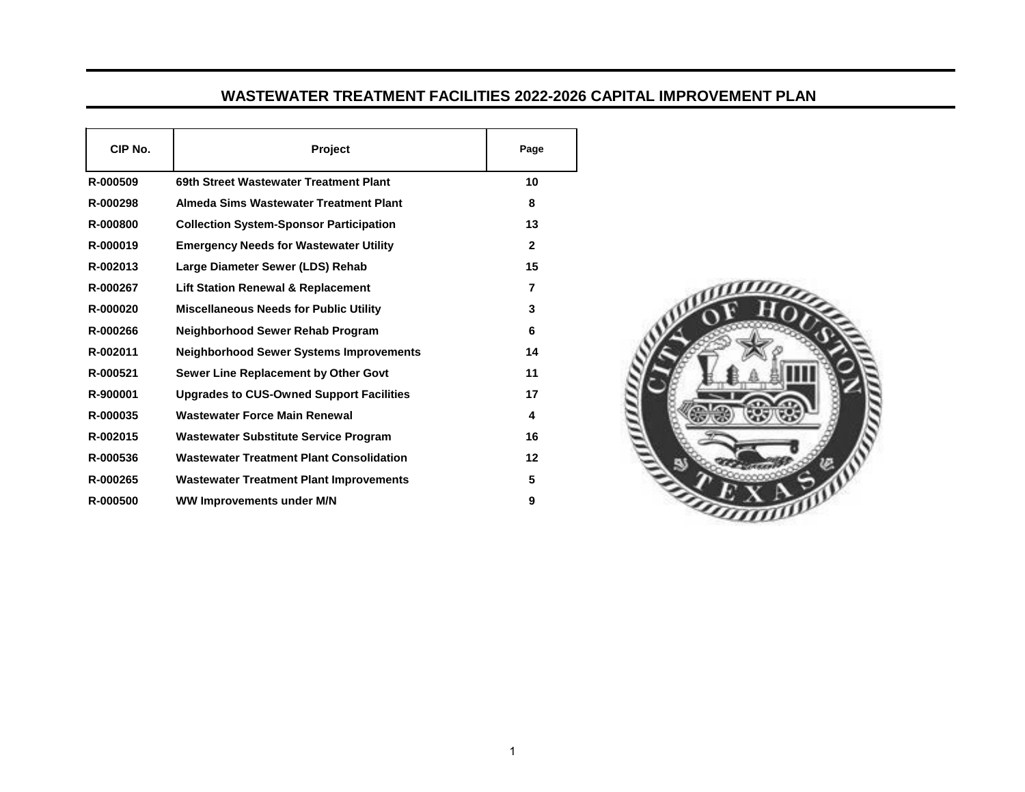## **WASTEWATER TREATMENT FACILITIES 2022-2026 CAPITAL IMPROVEMENT PLAN**

| CIP No.  | <b>Project</b>                                  | Page         |
|----------|-------------------------------------------------|--------------|
| R-000509 | 69th Street Wastewater Treatment Plant          | 10           |
| R-000298 | Almeda Sims Wastewater Treatment Plant          | 8            |
| R-000800 | <b>Collection System-Sponsor Participation</b>  | 13           |
| R-000019 | <b>Emergency Needs for Wastewater Utility</b>   | $\mathbf{2}$ |
| R-002013 | Large Diameter Sewer (LDS) Rehab                | 15           |
| R-000267 | <b>Lift Station Renewal &amp; Replacement</b>   | 7            |
| R-000020 | <b>Miscellaneous Needs for Public Utility</b>   | 3            |
| R-000266 | Neighborhood Sewer Rehab Program                | 6            |
| R-002011 | <b>Neighborhood Sewer Systems Improvements</b>  | 14           |
| R-000521 | Sewer Line Replacement by Other Govt            | 11           |
| R-900001 | <b>Upgrades to CUS-Owned Support Facilities</b> | 17           |
| R-000035 | <b>Wastewater Force Main Renewal</b>            | 4            |
| R-002015 | <b>Wastewater Substitute Service Program</b>    | 16           |
| R-000536 | <b>Wastewater Treatment Plant Consolidation</b> | 12           |
| R-000265 | <b>Wastewater Treatment Plant Improvements</b>  | 5            |
| R-000500 | <b>WW Improvements under M/N</b>                | 9            |

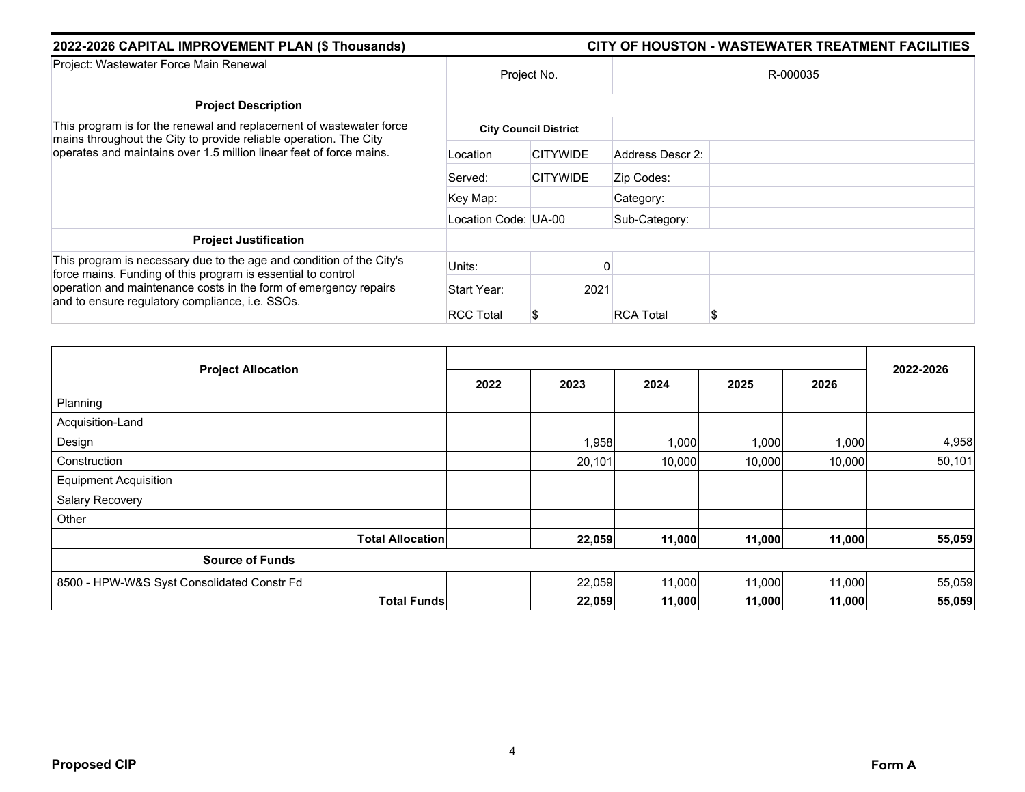| 2022-2026 CAPITAL IMPROVEMENT PLAN (\$ Thousands)                                                                                        | <b>CITY OF HOUSTON - WASTEWATER TREATMENT FACILITIES</b> |                              |                  |  |  |  |  |
|------------------------------------------------------------------------------------------------------------------------------------------|----------------------------------------------------------|------------------------------|------------------|--|--|--|--|
| Project: Wastewater Force Main Renewal                                                                                                   | Project No.                                              |                              | R-000035         |  |  |  |  |
| <b>Project Description</b>                                                                                                               |                                                          |                              |                  |  |  |  |  |
| This program is for the renewal and replacement of wastewater force                                                                      |                                                          | <b>City Council District</b> |                  |  |  |  |  |
| mains throughout the City to provide reliable operation. The City<br>operates and maintains over 1.5 million linear feet of force mains. | Location                                                 | <b>CITYWIDE</b>              | Address Descr 2: |  |  |  |  |
|                                                                                                                                          | Served:                                                  | <b>CITYWIDE</b>              | Zip Codes:       |  |  |  |  |
|                                                                                                                                          | Key Map:                                                 |                              | Category:        |  |  |  |  |
|                                                                                                                                          | Location Code: UA-00                                     |                              | Sub-Category:    |  |  |  |  |
| <b>Project Justification</b>                                                                                                             |                                                          |                              |                  |  |  |  |  |
| This program is necessary due to the age and condition of the City's<br>force mains. Funding of this program is essential to control     | Units:                                                   |                              |                  |  |  |  |  |
| operation and maintenance costs in the form of emergency repairs<br>and to ensure regulatory compliance, i.e. SSOs.                      | Start Year:                                              | 2021                         |                  |  |  |  |  |
|                                                                                                                                          | <b>RCC Total</b>                                         |                              | <b>RCA Total</b> |  |  |  |  |

| <b>Project Allocation</b>                  |      |        |        |        |        | 2022-2026 |
|--------------------------------------------|------|--------|--------|--------|--------|-----------|
|                                            | 2022 | 2023   | 2024   | 2025   | 2026   |           |
| Planning                                   |      |        |        |        |        |           |
| Acquisition-Land                           |      |        |        |        |        |           |
| Design                                     |      | 1,958  | 1,000  | 1,000  | 1,000  | 4,958     |
| Construction                               |      | 20,101 | 10,000 | 10,000 | 10,000 | 50,101    |
| <b>Equipment Acquisition</b>               |      |        |        |        |        |           |
| Salary Recovery                            |      |        |        |        |        |           |
| Other                                      |      |        |        |        |        |           |
| <b>Total Allocation</b>                    |      | 22,059 | 11,000 | 11,000 | 11,000 | 55,059    |
| <b>Source of Funds</b>                     |      |        |        |        |        |           |
| 8500 - HPW-W&S Syst Consolidated Constr Fd |      | 22,059 | 11,000 | 11,000 | 11,000 | 55,059    |
| <b>Total Funds</b>                         |      | 22,059 | 11,000 | 11,000 | 11,000 | 55,059    |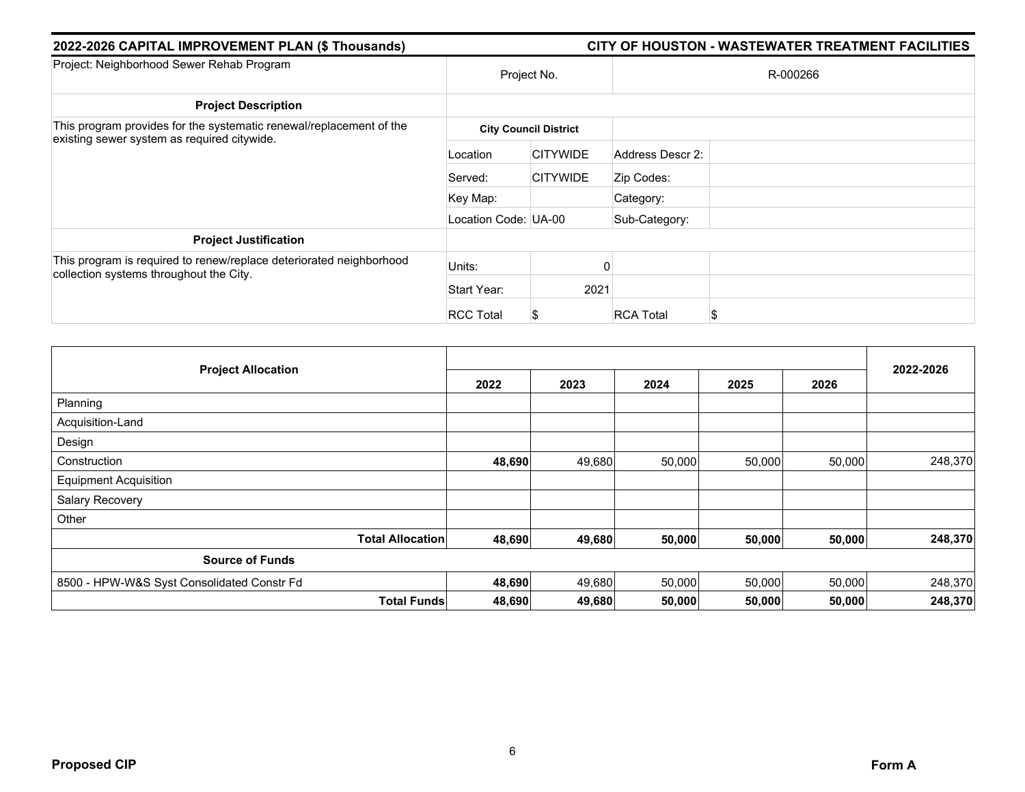| 2022-2026 CAPITAL IMPROVEMENT PLAN (\$ Thousands)                   | CITY OF HOUSTON - WASTEWATER TREATMENT FACILITIES |                              |                       |  |  |  |  |
|---------------------------------------------------------------------|---------------------------------------------------|------------------------------|-----------------------|--|--|--|--|
| Project: Neighborhood Sewer Rehab Program                           | Project No.                                       |                              | R-000266              |  |  |  |  |
| <b>Project Description</b>                                          |                                                   |                              |                       |  |  |  |  |
| This program provides for the systematic renewal/replacement of the |                                                   | <b>City Council District</b> |                       |  |  |  |  |
| existing sewer system as required citywide.                         | Location                                          | <b>CITYWIDE</b>              | Address Descr 2:      |  |  |  |  |
|                                                                     | Served:                                           | <b>CITYWIDE</b>              | Zip Codes:            |  |  |  |  |
|                                                                     | Key Map:                                          |                              | Category:             |  |  |  |  |
|                                                                     | Location Code: UA-00                              |                              | Sub-Category:         |  |  |  |  |
| <b>Project Justification</b>                                        |                                                   |                              |                       |  |  |  |  |
| This program is required to renew/replace deteriorated neighborhood | Units:                                            |                              | ŋ                     |  |  |  |  |
| collection systems throughout the City.                             | Start Year:                                       | 2021                         |                       |  |  |  |  |
|                                                                     | <b>RCC Total</b>                                  | æ.                           | <b>RCA Total</b><br>S |  |  |  |  |

| <b>Project Allocation</b>                  | 2022   | 2023   | 2024   | 2025   | 2026   | 2022-2026 |
|--------------------------------------------|--------|--------|--------|--------|--------|-----------|
| Planning                                   |        |        |        |        |        |           |
| Acquisition-Land                           |        |        |        |        |        |           |
| Design                                     |        |        |        |        |        |           |
| Construction                               | 48,690 | 49,680 | 50,000 | 50,000 | 50,000 | 248,370   |
| <b>Equipment Acquisition</b>               |        |        |        |        |        |           |
| Salary Recovery                            |        |        |        |        |        |           |
| Other                                      |        |        |        |        |        |           |
| <b>Total Allocation</b>                    | 48,690 | 49,680 | 50,000 | 50,000 | 50,000 | 248,370   |
| <b>Source of Funds</b>                     |        |        |        |        |        |           |
| 8500 - HPW-W&S Syst Consolidated Constr Fd | 48,690 | 49,680 | 50,000 | 50,000 | 50,000 | 248,370   |
| <b>Total Funds</b>                         | 48,690 | 49,680 | 50,000 | 50,000 | 50,000 | 248,370   |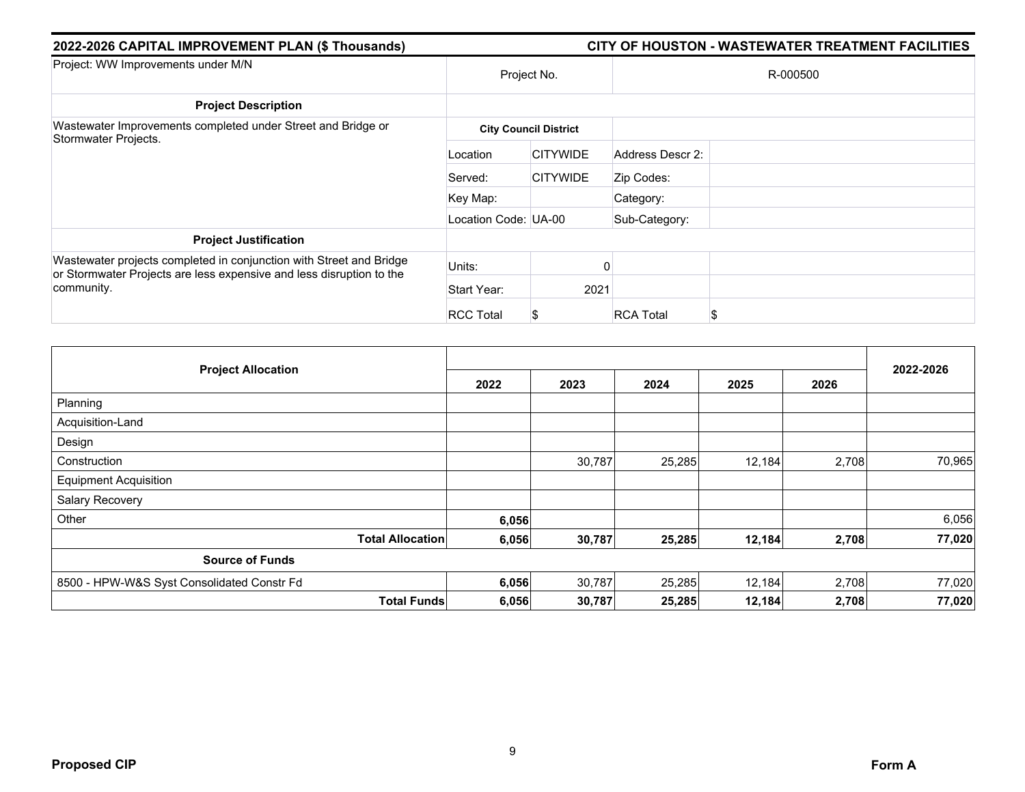| 2022-2026 CAPITAL IMPROVEMENT PLAN (\$ Thousands)                                  |                      |                              |                  | CITY OF HOUSTON - WASTEWATER TREATMENT FACILITIES |  |
|------------------------------------------------------------------------------------|----------------------|------------------------------|------------------|---------------------------------------------------|--|
| Project: WW Improvements under M/N                                                 | Project No.          |                              |                  | R-000500                                          |  |
| <b>Project Description</b>                                                         |                      |                              |                  |                                                   |  |
| Wastewater Improvements completed under Street and Bridge or                       |                      | <b>City Council District</b> |                  |                                                   |  |
| Stormwater Projects.                                                               | Location             | <b>CITYWIDE</b>              | Address Descr 2: |                                                   |  |
|                                                                                    | Served:              | <b>CITYWIDE</b>              | Zip Codes:       |                                                   |  |
|                                                                                    | Key Map:             |                              | Category:        |                                                   |  |
|                                                                                    | Location Code: UA-00 |                              | Sub-Category:    |                                                   |  |
| <b>Project Justification</b>                                                       |                      |                              |                  |                                                   |  |
| Wastewater projects completed in conjunction with Street and Bridge                | Units:               |                              |                  |                                                   |  |
| or Stormwater Projects are less expensive and less disruption to the<br>community. | Start Year:          | 2021                         |                  |                                                   |  |
|                                                                                    | <b>RCC Total</b>     | S                            | <b>RCA Total</b> | S                                                 |  |

| <b>Project Allocation</b>                  |                         |       |        |        |        |       | 2022-2026 |
|--------------------------------------------|-------------------------|-------|--------|--------|--------|-------|-----------|
|                                            |                         | 2022  | 2023   | 2024   | 2025   | 2026  |           |
| Planning                                   |                         |       |        |        |        |       |           |
| Acquisition-Land                           |                         |       |        |        |        |       |           |
| Design                                     |                         |       |        |        |        |       |           |
| Construction                               |                         |       | 30,787 | 25,285 | 12,184 | 2,708 | 70,965    |
| <b>Equipment Acquisition</b>               |                         |       |        |        |        |       |           |
| Salary Recovery                            |                         |       |        |        |        |       |           |
| Other                                      |                         | 6,056 |        |        |        |       | 6,056     |
|                                            | <b>Total Allocation</b> | 6,056 | 30,787 | 25,285 | 12,184 | 2,708 | 77,020    |
| <b>Source of Funds</b>                     |                         |       |        |        |        |       |           |
| 8500 - HPW-W&S Syst Consolidated Constr Fd |                         | 6,056 | 30,787 | 25,285 | 12,184 | 2,708 | 77,020    |
|                                            | <b>Total Funds</b>      | 6,056 | 30,787 | 25,285 | 12,184 | 2,708 | 77,020    |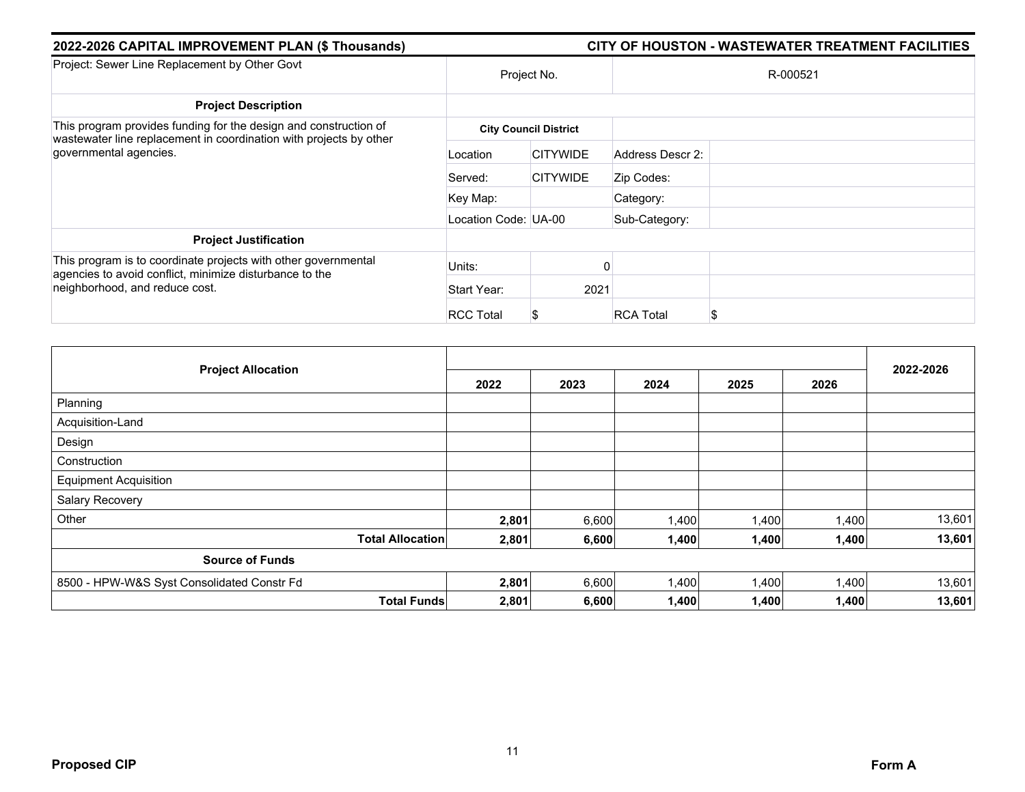| 2022-2026 CAPITAL IMPROVEMENT PLAN (\$ Thousands)                                            |                      |                              | CITY OF HOUSTON - WASTEWATER TREATMENT FACILITIES |  |  |
|----------------------------------------------------------------------------------------------|----------------------|------------------------------|---------------------------------------------------|--|--|
| Project: Sewer Line Replacement by Other Govt                                                | Project No.          |                              | R-000521                                          |  |  |
| <b>Project Description</b>                                                                   |                      |                              |                                                   |  |  |
| This program provides funding for the design and construction of                             |                      | <b>City Council District</b> |                                                   |  |  |
| wastewater line replacement in coordination with projects by other<br>governmental agencies. | Location             | <b>CITYWIDE</b>              | Address Descr 2:                                  |  |  |
|                                                                                              | Served:              | <b>CITYWIDE</b>              | Zip Codes:                                        |  |  |
|                                                                                              | Key Map:             |                              | Category:                                         |  |  |
|                                                                                              | Location Code: UA-00 |                              | Sub-Category:                                     |  |  |
| <b>Project Justification</b>                                                                 |                      |                              |                                                   |  |  |
| This program is to coordinate projects with other governmental                               | Units:               |                              | O                                                 |  |  |
| agencies to avoid conflict, minimize disturbance to the<br>neighborhood, and reduce cost.    | Start Year:          | 2021                         |                                                   |  |  |
|                                                                                              | <b>RCC Total</b>     | Ъ                            | <b>RCA Total</b><br>S                             |  |  |

| <b>Project Allocation</b>                  |                         |       |       |       |       |       |           |
|--------------------------------------------|-------------------------|-------|-------|-------|-------|-------|-----------|
|                                            |                         | 2022  | 2023  | 2024  | 2025  | 2026  | 2022-2026 |
| Planning                                   |                         |       |       |       |       |       |           |
| Acquisition-Land                           |                         |       |       |       |       |       |           |
| Design                                     |                         |       |       |       |       |       |           |
| Construction                               |                         |       |       |       |       |       |           |
| <b>Equipment Acquisition</b>               |                         |       |       |       |       |       |           |
| Salary Recovery                            |                         |       |       |       |       |       |           |
| Other                                      |                         | 2,801 | 6,600 | 1,400 | 1,400 | 1,400 | 13,601    |
|                                            | <b>Total Allocation</b> | 2,801 | 6,600 | 1,400 | 1,400 | 1,400 | 13,601    |
| <b>Source of Funds</b>                     |                         |       |       |       |       |       |           |
| 8500 - HPW-W&S Syst Consolidated Constr Fd |                         | 2,801 | 6,600 | 1,400 | 1,400 | 1,400 | 13,601    |
|                                            | <b>Total Funds</b>      | 2,801 | 6,600 | 1,400 | 1,400 | 1,400 | 13,601    |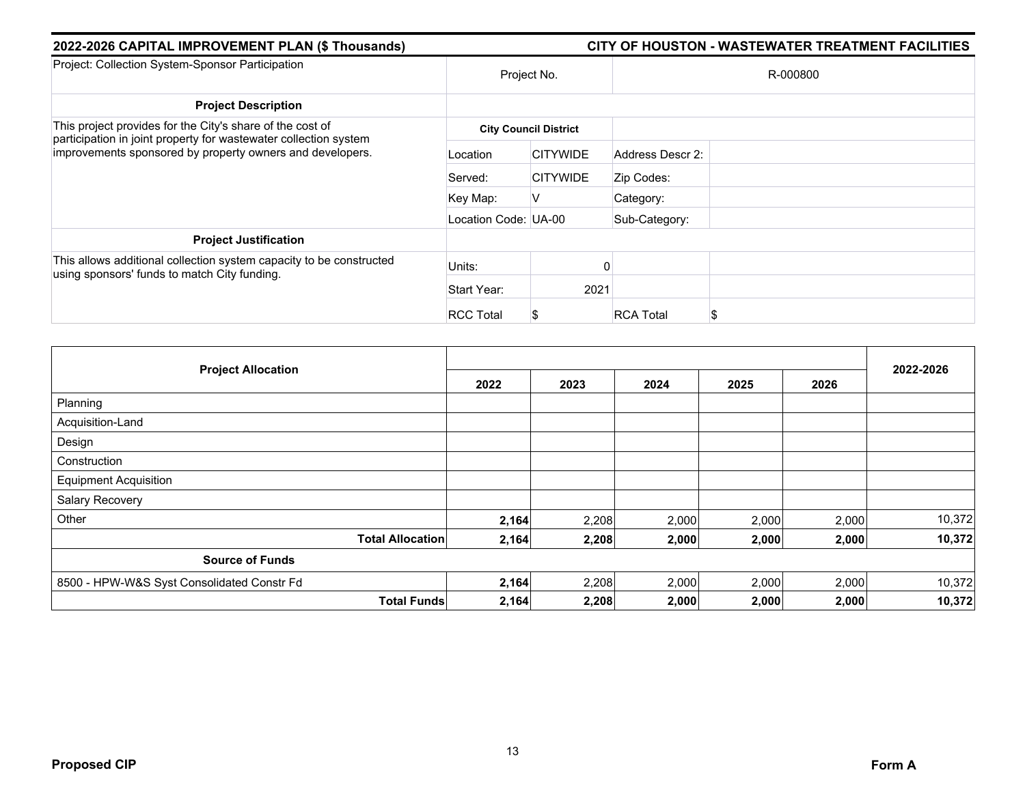| 2022-2026 CAPITAL IMPROVEMENT PLAN (\$ Thousands)                                                                                                                                          |                      |                              | CITY OF HOUSTON - WASTEWATER TREATMENT FACILITIES |  |  |
|--------------------------------------------------------------------------------------------------------------------------------------------------------------------------------------------|----------------------|------------------------------|---------------------------------------------------|--|--|
| Project: Collection System-Sponsor Participation                                                                                                                                           | Project No.          |                              | R-000800                                          |  |  |
| <b>Project Description</b>                                                                                                                                                                 |                      |                              |                                                   |  |  |
| This project provides for the City's share of the cost of<br>participation in joint property for wastewater collection system<br>improvements sponsored by property owners and developers. |                      | <b>City Council District</b> |                                                   |  |  |
|                                                                                                                                                                                            | Location             | <b>CITYWIDE</b>              | Address Descr 2:                                  |  |  |
|                                                                                                                                                                                            | Served:              | <b>CITYWIDE</b>              | Zip Codes:                                        |  |  |
|                                                                                                                                                                                            | Key Map:             | V                            | Category:                                         |  |  |
|                                                                                                                                                                                            | Location Code: UA-00 |                              | Sub-Category:                                     |  |  |
| <b>Project Justification</b>                                                                                                                                                               |                      |                              |                                                   |  |  |
| This allows additional collection system capacity to be constructed<br>using sponsors' funds to match City funding.                                                                        | Units:               |                              |                                                   |  |  |
|                                                                                                                                                                                            | Start Year:          | 2021                         |                                                   |  |  |
|                                                                                                                                                                                            | <b>RCC Total</b>     | æ.                           | <b>RCA Total</b><br>S                             |  |  |

| <b>Project Allocation</b>                  | 2022  | 2023  | 2024  | 2025  | 2026  | 2022-2026 |
|--------------------------------------------|-------|-------|-------|-------|-------|-----------|
| Planning                                   |       |       |       |       |       |           |
| Acquisition-Land                           |       |       |       |       |       |           |
| Design                                     |       |       |       |       |       |           |
| Construction                               |       |       |       |       |       |           |
| <b>Equipment Acquisition</b>               |       |       |       |       |       |           |
| Salary Recovery                            |       |       |       |       |       |           |
| Other                                      | 2,164 | 2,208 | 2,000 | 2,000 | 2,000 | 10,372    |
| <b>Total Allocation</b>                    | 2,164 | 2,208 | 2,000 | 2,000 | 2,000 | 10,372    |
| <b>Source of Funds</b>                     |       |       |       |       |       |           |
| 8500 - HPW-W&S Syst Consolidated Constr Fd | 2,164 | 2,208 | 2,000 | 2,000 | 2,000 | 10,372    |
| <b>Total Funds</b>                         | 2,164 | 2,208 | 2,000 | 2,000 | 2,000 | 10,372    |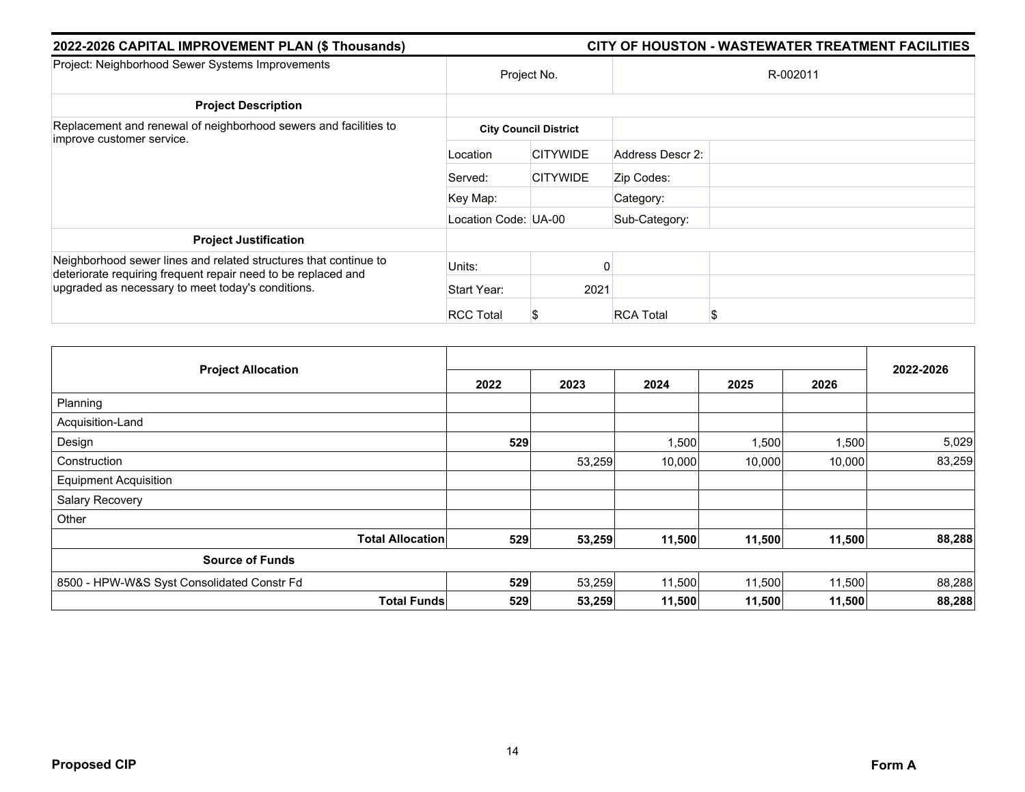| 2022-2026 CAPITAL IMPROVEMENT PLAN (\$ Thousands)                                                                  |                              | CITY OF HOUSTON - WASTEWATER TREATMENT FACILITIES |                  |          |  |  |  |
|--------------------------------------------------------------------------------------------------------------------|------------------------------|---------------------------------------------------|------------------|----------|--|--|--|
| Project: Neighborhood Sewer Systems Improvements                                                                   |                              | Project No.                                       |                  | R-002011 |  |  |  |
| <b>Project Description</b>                                                                                         |                              |                                                   |                  |          |  |  |  |
| Replacement and renewal of neighborhood sewers and facilities to                                                   | <b>City Council District</b> |                                                   |                  |          |  |  |  |
| improve customer service.                                                                                          | Location                     | <b>CITYWIDE</b>                                   | Address Descr 2: |          |  |  |  |
|                                                                                                                    | Served:                      | <b>CITYWIDE</b>                                   | Zip Codes:       |          |  |  |  |
|                                                                                                                    | Key Map:                     |                                                   | Category:        |          |  |  |  |
|                                                                                                                    | Location Code: UA-00         |                                                   | Sub-Category:    |          |  |  |  |
| <b>Project Justification</b>                                                                                       |                              |                                                   |                  |          |  |  |  |
| Neighborhood sewer lines and related structures that continue to                                                   | Units:                       |                                                   |                  |          |  |  |  |
| deteriorate requiring frequent repair need to be replaced and<br>upgraded as necessary to meet today's conditions. | Start Year:                  | 2021                                              |                  |          |  |  |  |
|                                                                                                                    | <b>RCC Total</b>             | S                                                 | <b>RCA Total</b> | \$       |  |  |  |

| <b>Project Allocation</b>                  | 2022 | 2023   | 2024   | 2025   | 2026   | 2022-2026 |
|--------------------------------------------|------|--------|--------|--------|--------|-----------|
| Planning                                   |      |        |        |        |        |           |
| Acquisition-Land                           |      |        |        |        |        |           |
| Design                                     | 529  |        | 1,500  | 1,500  | 1,500  | 5,029     |
| Construction                               |      | 53,259 | 10,000 | 10,000 | 10,000 | 83,259    |
| <b>Equipment Acquisition</b>               |      |        |        |        |        |           |
| Salary Recovery                            |      |        |        |        |        |           |
| Other                                      |      |        |        |        |        |           |
| <b>Total Allocation</b>                    | 529  | 53,259 | 11,500 | 11,500 | 11,500 | 88,288    |
| <b>Source of Funds</b>                     |      |        |        |        |        |           |
| 8500 - HPW-W&S Syst Consolidated Constr Fd | 529  | 53,259 | 11,500 | 11,500 | 11,500 | 88,288    |
| <b>Total Funds</b>                         | 529  | 53,259 | 11,500 | 11,500 | 11,500 | 88,288    |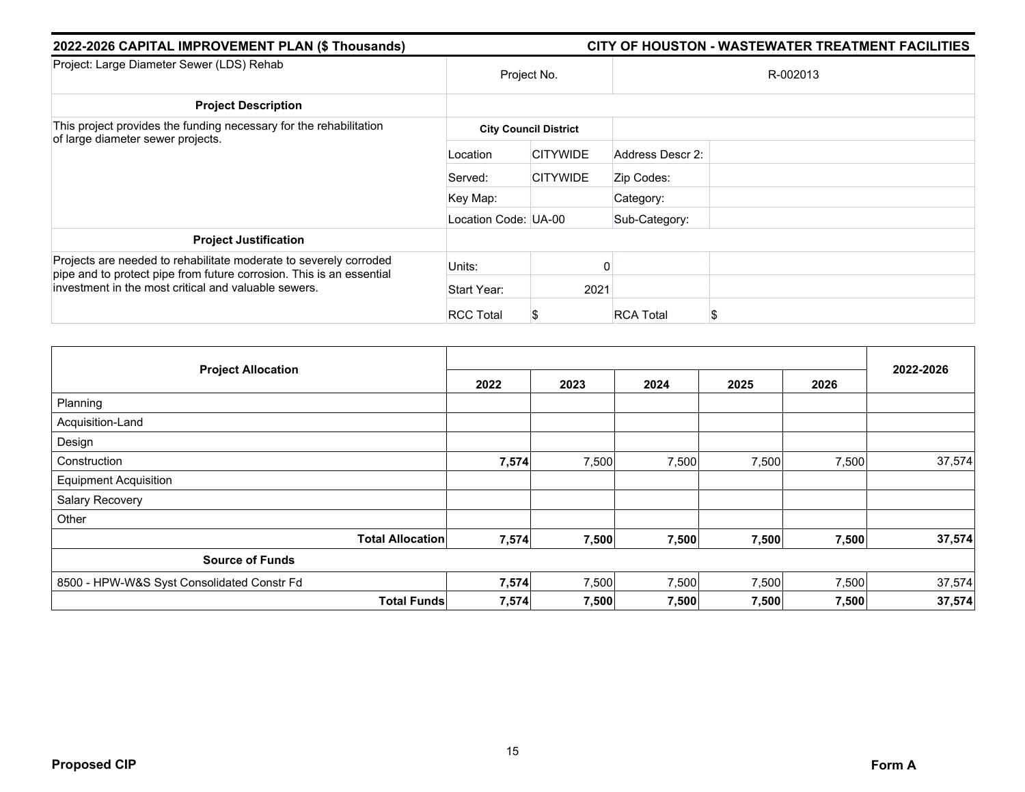| 2022-2026 CAPITAL IMPROVEMENT PLAN (\$ Thousands)                                                                                                                                                 |                      |                              |                  | CITY OF HOUSTON - WASTEWATER TREATMENT FACILITIES |
|---------------------------------------------------------------------------------------------------------------------------------------------------------------------------------------------------|----------------------|------------------------------|------------------|---------------------------------------------------|
| Project: Large Diameter Sewer (LDS) Rehab                                                                                                                                                         |                      | Project No.                  |                  | R-002013                                          |
| <b>Project Description</b>                                                                                                                                                                        |                      |                              |                  |                                                   |
| This project provides the funding necessary for the rehabilitation<br>of large diameter sewer projects.                                                                                           |                      | <b>City Council District</b> |                  |                                                   |
|                                                                                                                                                                                                   | Location             | <b>CITYWIDE</b>              | Address Descr 2: |                                                   |
|                                                                                                                                                                                                   | Served:              | <b>CITYWIDE</b>              | Zip Codes:       |                                                   |
|                                                                                                                                                                                                   | Key Map:             |                              | Category:        |                                                   |
|                                                                                                                                                                                                   | Location Code: UA-00 |                              | Sub-Category:    |                                                   |
| <b>Project Justification</b>                                                                                                                                                                      |                      |                              |                  |                                                   |
| Projects are needed to rehabilitate moderate to severely corroded<br>pipe and to protect pipe from future corrosion. This is an essential<br>investment in the most critical and valuable sewers. | Units:               |                              |                  |                                                   |
|                                                                                                                                                                                                   | Start Year:          | 2021                         |                  |                                                   |
|                                                                                                                                                                                                   | <b>RCC Total</b>     | S                            | <b>RCA Total</b> |                                                   |

| <b>Project Allocation</b>                  |                         |       |       |       |       |       |           |
|--------------------------------------------|-------------------------|-------|-------|-------|-------|-------|-----------|
|                                            |                         | 2022  | 2023  | 2024  | 2025  | 2026  | 2022-2026 |
| Planning                                   |                         |       |       |       |       |       |           |
| Acquisition-Land                           |                         |       |       |       |       |       |           |
| Design                                     |                         |       |       |       |       |       |           |
| Construction                               |                         | 7,574 | 7,500 | 7,500 | 7,500 | 7,500 | 37,574    |
| <b>Equipment Acquisition</b>               |                         |       |       |       |       |       |           |
| Salary Recovery                            |                         |       |       |       |       |       |           |
| Other                                      |                         |       |       |       |       |       |           |
|                                            | <b>Total Allocation</b> | 7,574 | 7,500 | 7,500 | 7,500 | 7,500 | 37,574    |
| <b>Source of Funds</b>                     |                         |       |       |       |       |       |           |
| 8500 - HPW-W&S Syst Consolidated Constr Fd |                         | 7,574 | 7,500 | 7,500 | 7,500 | 7,500 | 37,574    |
|                                            | <b>Total Funds</b>      | 7,574 | 7,500 | 7,500 | 7,500 | 7,500 | 37,574    |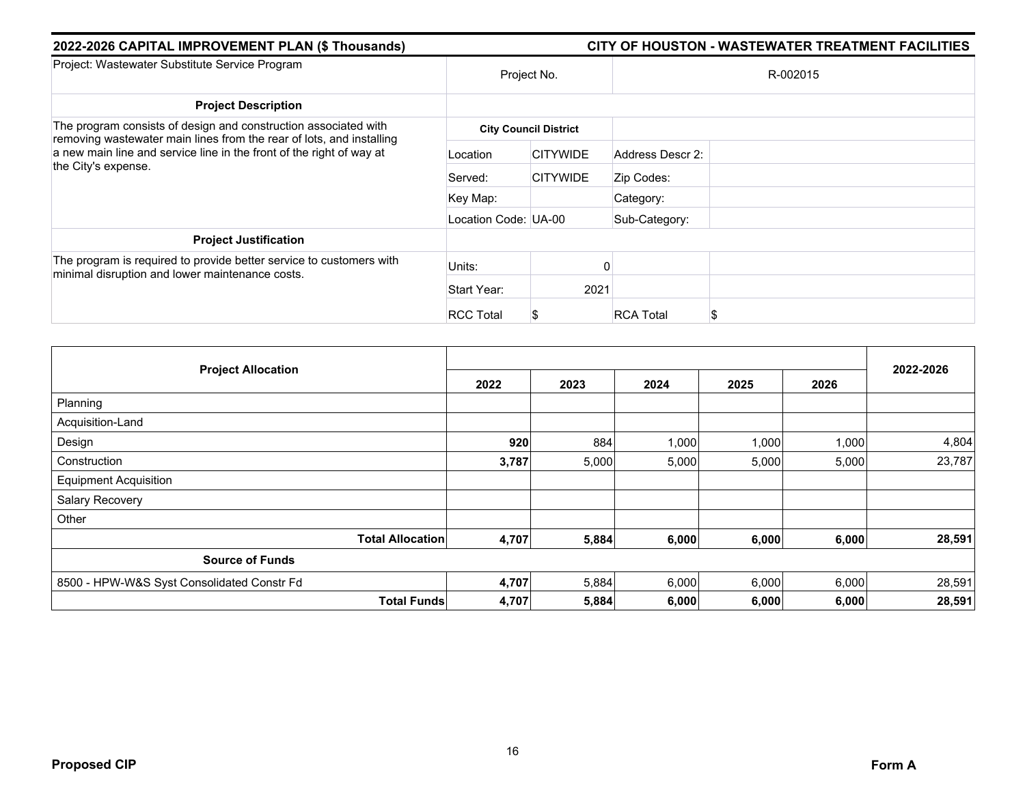| 2022-2026 CAPITAL IMPROVEMENT PLAN (\$ Thousands)                                                                                                                                                                                      | CITY OF HOUSTON - WASTEWATER TREATMENT FACILITIES |                 |                  |  |  |  |
|----------------------------------------------------------------------------------------------------------------------------------------------------------------------------------------------------------------------------------------|---------------------------------------------------|-----------------|------------------|--|--|--|
| Project: Wastewater Substitute Service Program                                                                                                                                                                                         | Project No.                                       |                 | R-002015         |  |  |  |
| <b>Project Description</b>                                                                                                                                                                                                             |                                                   |                 |                  |  |  |  |
| The program consists of design and construction associated with<br>removing wastewater main lines from the rear of lots, and installing<br>a new main line and service line in the front of the right of way at<br>the City's expense. | <b>City Council District</b>                      |                 |                  |  |  |  |
|                                                                                                                                                                                                                                        | Location                                          | <b>CITYWIDE</b> | Address Descr 2: |  |  |  |
|                                                                                                                                                                                                                                        | Served:                                           | <b>CITYWIDE</b> | Zip Codes:       |  |  |  |
|                                                                                                                                                                                                                                        | Key Map:                                          |                 | Category:        |  |  |  |
|                                                                                                                                                                                                                                        | Location Code: UA-00                              |                 | Sub-Category:    |  |  |  |
| <b>Project Justification</b>                                                                                                                                                                                                           |                                                   |                 |                  |  |  |  |
| The program is required to provide better service to customers with<br>minimal disruption and lower maintenance costs.                                                                                                                 | Units:                                            |                 | ŋ                |  |  |  |
|                                                                                                                                                                                                                                        | Start Year:                                       | 2021            |                  |  |  |  |
|                                                                                                                                                                                                                                        | <b>RCC Total</b>                                  |                 | <b>RCA Total</b> |  |  |  |

| <b>Project Allocation</b>                  | 2022  | 2023  | 2024  | 2025  | 2026  | 2022-2026 |
|--------------------------------------------|-------|-------|-------|-------|-------|-----------|
| Planning                                   |       |       |       |       |       |           |
| Acquisition-Land                           |       |       |       |       |       |           |
| Design                                     | 920   | 884   | 1,000 | 1,000 | 1,000 | 4,804     |
| Construction                               | 3,787 | 5,000 | 5,000 | 5,000 | 5,000 | 23,787    |
| <b>Equipment Acquisition</b>               |       |       |       |       |       |           |
| Salary Recovery                            |       |       |       |       |       |           |
| Other                                      |       |       |       |       |       |           |
| <b>Total Allocation</b>                    | 4,707 | 5,884 | 6,000 | 6,000 | 6,000 | 28,591    |
| <b>Source of Funds</b>                     |       |       |       |       |       |           |
| 8500 - HPW-W&S Syst Consolidated Constr Fd | 4,707 | 5,884 | 6,000 | 6,000 | 6,000 | 28,591    |
| <b>Total Funds</b>                         | 4,707 | 5,884 | 6,000 | 6,000 | 6,000 | 28,591    |